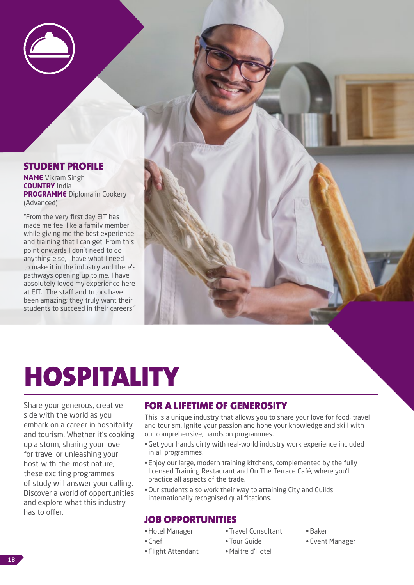

#### STUDENT PROFILE

**NAME** Vikram Singh **COUNTRY** India **PROGRAMME** Diploma in Cookery (Advanced)

"From the very first day EIT has made me feel like a family member while giving me the best experience and training that I can get. From this point onwards I don't need to do anything else, I have what I need to make it in the industry and there's pathways opening up to me. I have absolutely loved my experience here at EIT. The staff and tutors have been amazing; they truly want their students to succeed in their careers."

# HOSPITALITY

Share your generous, creative side with the world as you embark on a career in hospitality and tourism. Whether it's cooking up a storm, sharing your love for travel or unleashing your host-with-the-most nature, these exciting programmes of study will answer your calling. Discover a world of opportunities and explore what this industry has to offer.

## FOR A LIFETIME OF GENEROSITY

This is a unique industry that allows you to share your love for food, travel and tourism. Ignite your passion and hone your knowledge and skill with our comprehensive, hands on programmes.

- •Get your hands dirty with real-world industry work experience included in all programmes.
- Enjoy our large, modern training kitchens, complemented by the fully licensed Training Restaurant and On The Terrace Café, where you'll practice all aspects of the trade.
- •Our students also work their way to attaining City and Guilds internationally recognised qualifications.

## JOB OPPORTUNITIES

•Hotel Manager

• Flight Attendant

- Chef
- Travel Consultant
	- Tour Guide
- •Maitre d'Hotel
- •Baker
- Event Manager

**18**